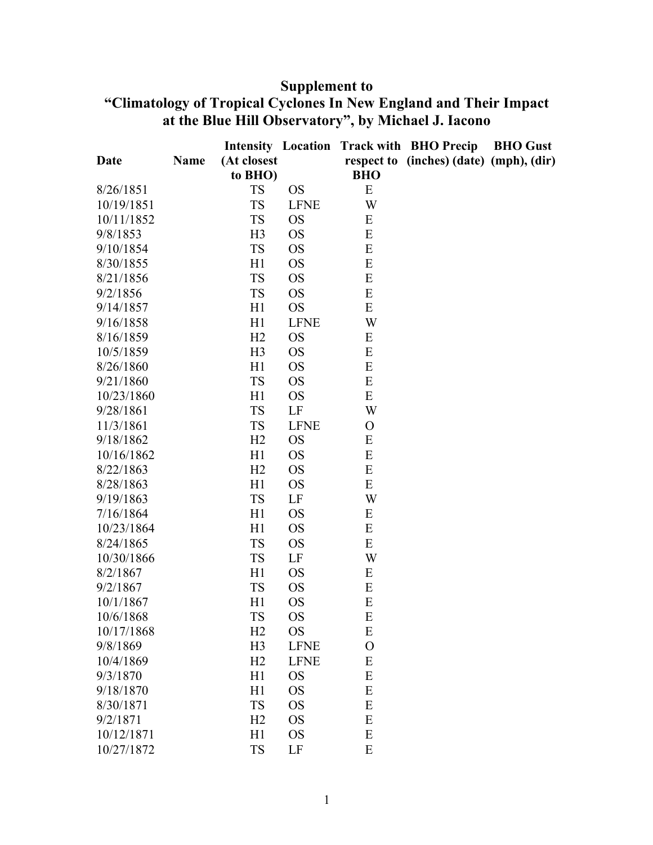## **Supplement to**

## **"Climatology of Tropical Cyclones In New England and Their Impact at the Blue Hill Observatory", by Michael J. Iacono**

|            |      |                |             |                | <b>Intensity Location Track with BHO Precip</b> | <b>BHO</b> Gust |
|------------|------|----------------|-------------|----------------|-------------------------------------------------|-----------------|
| Date       | Name | (At closest    |             |                | respect to (inches) (date) (mph), (dir)         |                 |
|            |      | to BHO)        |             | <b>BHO</b>     |                                                 |                 |
| 8/26/1851  |      | <b>TS</b>      | <b>OS</b>   | E              |                                                 |                 |
| 10/19/1851 |      | <b>TS</b>      | <b>LFNE</b> | W              |                                                 |                 |
| 10/11/1852 |      | <b>TS</b>      | <b>OS</b>   | E              |                                                 |                 |
| 9/8/1853   |      | H <sub>3</sub> | <b>OS</b>   | ${\bf E}$      |                                                 |                 |
| 9/10/1854  |      | <b>TS</b>      | <b>OS</b>   | E              |                                                 |                 |
| 8/30/1855  |      | H1             | <b>OS</b>   | ${\bf E}$      |                                                 |                 |
| 8/21/1856  |      | <b>TS</b>      | <b>OS</b>   | E              |                                                 |                 |
| 9/2/1856   |      | <b>TS</b>      | <b>OS</b>   | E              |                                                 |                 |
| 9/14/1857  |      | H1             | <b>OS</b>   | E              |                                                 |                 |
| 9/16/1858  |      | H1             | <b>LFNE</b> | W              |                                                 |                 |
| 8/16/1859  |      | H2             | <b>OS</b>   | ${\bf E}$      |                                                 |                 |
| 10/5/1859  |      | H <sub>3</sub> | <b>OS</b>   | E              |                                                 |                 |
| 8/26/1860  |      | H1             | <b>OS</b>   | E              |                                                 |                 |
| 9/21/1860  |      | <b>TS</b>      | <b>OS</b>   | ${\bf E}$      |                                                 |                 |
| 10/23/1860 |      | H1             | <b>OS</b>   | E              |                                                 |                 |
| 9/28/1861  |      | <b>TS</b>      | LF          | W              |                                                 |                 |
| 11/3/1861  |      | <b>TS</b>      | <b>LFNE</b> | $\mathbf{O}$   |                                                 |                 |
| 9/18/1862  |      | H2             | <b>OS</b>   | E              |                                                 |                 |
| 10/16/1862 |      | H1             | <b>OS</b>   | ${\bf E}$      |                                                 |                 |
| 8/22/1863  |      | H2             | <b>OS</b>   | E              |                                                 |                 |
| 8/28/1863  |      | H1             | <b>OS</b>   | E              |                                                 |                 |
| 9/19/1863  |      | <b>TS</b>      | LF          | W              |                                                 |                 |
| 7/16/1864  |      | H1             | <b>OS</b>   | E              |                                                 |                 |
| 10/23/1864 |      | H1             | <b>OS</b>   | ${\bf E}$      |                                                 |                 |
| 8/24/1865  |      | <b>TS</b>      | <b>OS</b>   | E              |                                                 |                 |
| 10/30/1866 |      | <b>TS</b>      | LF          | W              |                                                 |                 |
| 8/2/1867   |      | H1             | <b>OS</b>   | E              |                                                 |                 |
| 9/2/1867   |      | <b>TS</b>      | <b>OS</b>   | ${\bf E}$      |                                                 |                 |
| 10/1/1867  |      | H1             | <b>OS</b>   | E              |                                                 |                 |
| 10/6/1868  |      | <b>TS</b>      | <b>OS</b>   | E              |                                                 |                 |
| 10/17/1868 |      | H2             | <b>OS</b>   | E              |                                                 |                 |
| 9/8/1869   |      | H <sub>3</sub> | <b>LFNE</b> | $\overline{O}$ |                                                 |                 |
| 10/4/1869  |      | H2             | <b>LFNE</b> | E              |                                                 |                 |
| 9/3/1870   |      | H1             | <b>OS</b>   | ${\bf E}$      |                                                 |                 |
| 9/18/1870  |      | H1             | <b>OS</b>   | E              |                                                 |                 |
| 8/30/1871  |      | <b>TS</b>      | <b>OS</b>   | E              |                                                 |                 |
| 9/2/1871   |      | H2             | <b>OS</b>   | E              |                                                 |                 |
| 10/12/1871 |      | H1             | <b>OS</b>   | ${\bf E}$      |                                                 |                 |
| 10/27/1872 |      | <b>TS</b>      | LF          | E              |                                                 |                 |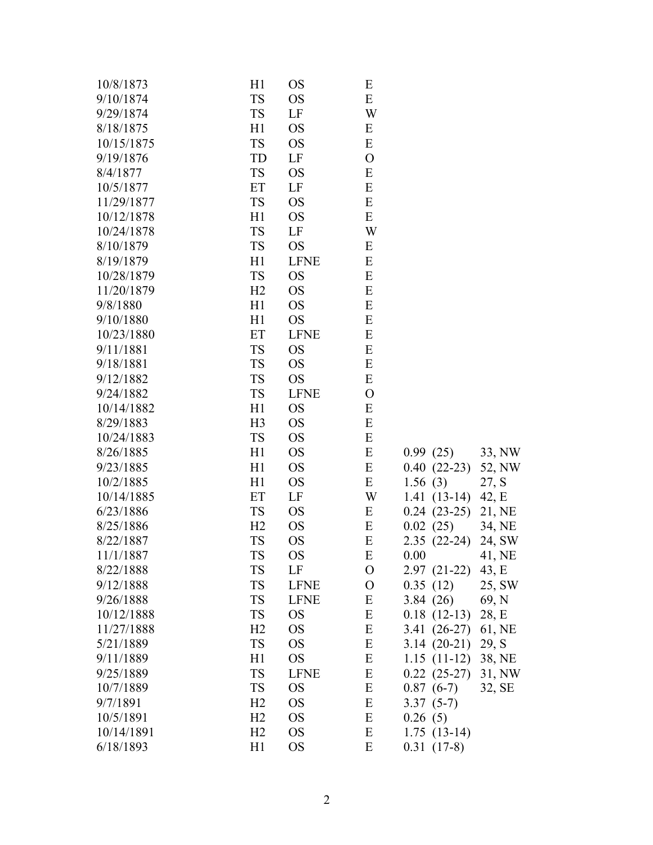| 10/8/1873  | H1             | <b>OS</b>   | E              |               |        |
|------------|----------------|-------------|----------------|---------------|--------|
| 9/10/1874  | <b>TS</b>      | <b>OS</b>   | E              |               |        |
| 9/29/1874  | <b>TS</b>      | LF          | W              |               |        |
| 8/18/1875  | H1             | <b>OS</b>   | E              |               |        |
| 10/15/1875 | <b>TS</b>      | <b>OS</b>   | E              |               |        |
| 9/19/1876  | TD             | LF          | $\overline{O}$ |               |        |
| 8/4/1877   | <b>TS</b>      | <b>OS</b>   | E              |               |        |
| 10/5/1877  | ET             | LF          | E              |               |        |
| 11/29/1877 | <b>TS</b>      | <b>OS</b>   | E              |               |        |
| 10/12/1878 | H1             | <b>OS</b>   | E              |               |        |
| 10/24/1878 | <b>TS</b>      | LF          | W              |               |        |
| 8/10/1879  | <b>TS</b>      | <b>OS</b>   | E              |               |        |
| 8/19/1879  | H1             | <b>LFNE</b> | E              |               |        |
| 10/28/1879 | <b>TS</b>      | <b>OS</b>   | E              |               |        |
| 11/20/1879 | H2             | <b>OS</b>   | E              |               |        |
| 9/8/1880   | H1             | <b>OS</b>   | E              |               |        |
| 9/10/1880  | H1             | <b>OS</b>   | E              |               |        |
| 10/23/1880 | ET             | <b>LFNE</b> | E              |               |        |
| 9/11/1881  | <b>TS</b>      | <b>OS</b>   | E              |               |        |
| 9/18/1881  | <b>TS</b>      | <b>OS</b>   | E              |               |        |
| 9/12/1882  | <b>TS</b>      | <b>OS</b>   | E              |               |        |
| 9/24/1882  | <b>TS</b>      | <b>LFNE</b> | $\mathcal{O}$  |               |        |
| 10/14/1882 | H1             | <b>OS</b>   | E              |               |        |
| 8/29/1883  | H <sub>3</sub> | <b>OS</b>   | E              |               |        |
| 10/24/1883 | <b>TS</b>      | <b>OS</b>   | E              |               |        |
| 8/26/1885  | H1             | <b>OS</b>   | E              | 0.99(25)      | 33, NW |
| 9/23/1885  | H1             | <b>OS</b>   | E              | $0.40(22-23)$ | 52, NW |
| 10/2/1885  | H1             | <b>OS</b>   | E              | 1.56(3)       | 27, S  |
| 10/14/1885 | ET             | LF          | W              | $1.41(13-14)$ | 42, E  |
| 6/23/1886  | <b>TS</b>      | <b>OS</b>   | E              | $0.24(23-25)$ | 21, NE |
| 8/25/1886  | H2             | <b>OS</b>   | E              | 0.02(25)      | 34, NE |
| 8/22/1887  | <b>TS</b>      | <b>OS</b>   | E              | $2.35(22-24)$ | 24, SW |
| 11/1/1887  | <b>TS</b>      | <b>OS</b>   | $\mathbf E$    | 0.00          | 41, NE |
| 8/22/1888  | TS             | LF          | O              | $2.97(21-22)$ | 43, E  |
| 9/12/1888  | <b>TS</b>      | <b>LFNE</b> | $\mathbf{O}$   | 0.35(12)      | 25, SW |
| 9/26/1888  | <b>TS</b>      | <b>LFNE</b> | E              | 3.84(26)      | 69, N  |
| 10/12/1888 | <b>TS</b>      | <b>OS</b>   | E              | $0.18(12-13)$ | 28, E  |
| 11/27/1888 | H2             | <b>OS</b>   | E              | $3.41(26-27)$ | 61, NE |
| 5/21/1889  | <b>TS</b>      | <b>OS</b>   | E              | $3.14(20-21)$ | 29, S  |
| 9/11/1889  | H1             | <b>OS</b>   | E              | $1.15(11-12)$ | 38, NE |
| 9/25/1889  | <b>TS</b>      | <b>LFNE</b> | E              | $0.22(25-27)$ | 31, NW |
| 10/7/1889  | <b>TS</b>      | <b>OS</b>   | E              | $0.87(6-7)$   | 32, SE |
| 9/7/1891   | H2             | <b>OS</b>   | E              | $3.37(5-7)$   |        |
| 10/5/1891  | H <sub>2</sub> | <b>OS</b>   | E              | 0.26(5)       |        |
| 10/14/1891 | H2             | <b>OS</b>   | E              | $1.75(13-14)$ |        |
| 6/18/1893  | H1             | <b>OS</b>   | E              | $0.31(17-8)$  |        |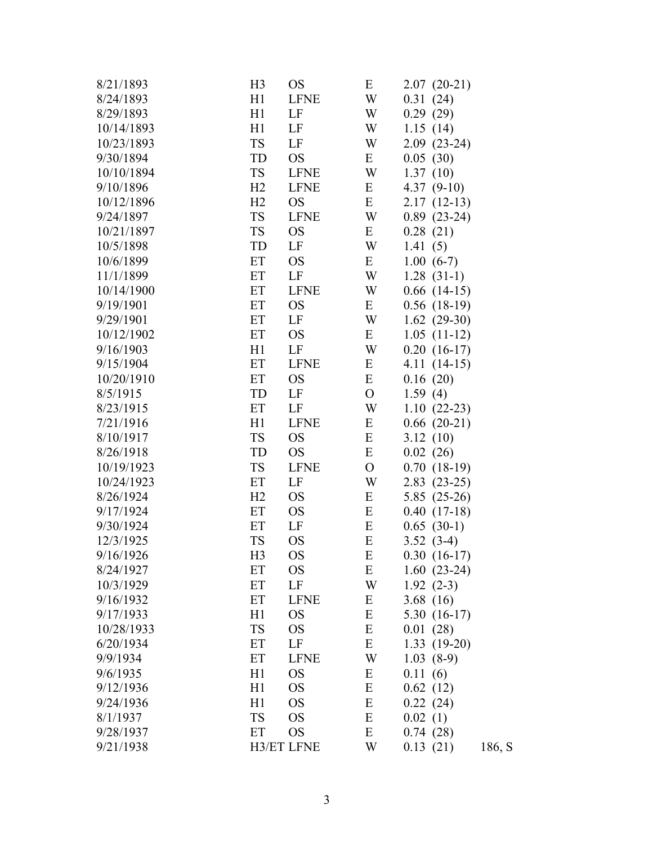| 8/21/1893  | H <sub>3</sub> | <b>OS</b>         | E             | $2.07(20-21)$    |        |
|------------|----------------|-------------------|---------------|------------------|--------|
| 8/24/1893  | H1             | <b>LFNE</b>       | W             | 0.31(24)         |        |
| 8/29/1893  | H1             | LF                | W             | 0.29(29)         |        |
| 10/14/1893 | H1             | LF                | W             | 1.15(14)         |        |
| 10/23/1893 | <b>TS</b>      | LF                | W             | $2.09(23-24)$    |        |
| 9/30/1894  | TD             | <b>OS</b>         | E             | 0.05(30)         |        |
| 10/10/1894 | TS             | <b>LFNE</b>       | W             | 1.37(10)         |        |
| 9/10/1896  | H2             | <b>LFNE</b>       | Ε             | 4.37 $(9-10)$    |        |
| 10/12/1896 | H2             | <b>OS</b>         | E             | $2.17(12-13)$    |        |
| 9/24/1897  | <b>TS</b>      | <b>LFNE</b>       | W             | $0.89(23-24)$    |        |
| 10/21/1897 | <b>TS</b>      | <b>OS</b>         | Ε             | 0.28(21)         |        |
| 10/5/1898  | TD             | LF                | W             | 1.41(5)          |        |
| 10/6/1899  | ET             | <b>OS</b>         | E             | $1.00(6-7)$      |        |
| 11/1/1899  | ET             | LF                | W             | $1.28(31-1)$     |        |
| 10/14/1900 | ET             | <b>LFNE</b>       | W             | $0.66$ (14-15)   |        |
| 9/19/1901  | ET             | <b>OS</b>         | E             | $0.56$ $(18-19)$ |        |
| 9/29/1901  | ET             | LF                | W             | $1.62$ (29-30)   |        |
| 10/12/1902 | ET             | <b>OS</b>         | Ε             | $1.05(11-12)$    |        |
| 9/16/1903  | H1             | LF                | W             | $0.20(16-17)$    |        |
| 9/15/1904  | ET             | <b>LFNE</b>       | E             | $4.11(14-15)$    |        |
| 10/20/1910 | ET             | <b>OS</b>         | E             | 0.16(20)         |        |
| 8/5/1915   | TD             | LF                | $\mathcal{O}$ | 1.59(4)          |        |
| 8/23/1915  | ET             | LF                | W             | $1.10(22-23)$    |        |
| 7/21/1916  | H1             | <b>LFNE</b>       | E             | $0.66(20-21)$    |        |
| 8/10/1917  | <b>TS</b>      | <b>OS</b>         | E             | 3.12(10)         |        |
| 8/26/1918  | TD             | <b>OS</b>         | E             | 0.02(26)         |        |
| 10/19/1923 | TS             | <b>LFNE</b>       | $\mathcal{O}$ | $0.70(18-19)$    |        |
| 10/24/1923 | ET             | LF                | W             | $2.83(23-25)$    |        |
| 8/26/1924  | H2             | <b>OS</b>         | Ε             | $5.85(25-26)$    |        |
| 9/17/1924  | ET             | <b>OS</b>         | E             | $0.40(17-18)$    |        |
| 9/30/1924  | ET             | LF                | E             | $0.65(30-1)$     |        |
| 12/3/1925  | <b>TS</b>      | <b>OS</b>         | ${\bf E}$     | $3.52(3-4)$      |        |
| 9/16/1926  | H <sub>3</sub> | <b>OS</b>         | E             | $0.30(16-17)$    |        |
| 8/24/1927  | ET             | <b>OS</b>         | E             | $1.60(23-24)$    |        |
| 10/3/1929  | ET             | LF                | W             | $1.92(2-3)$      |        |
| 9/16/1932  | ET             | <b>LFNE</b>       | Ε             | 3.68(16)         |        |
| 9/17/1933  | H1             | <b>OS</b>         | E             | $5.30(16-17)$    |        |
| 10/28/1933 | <b>TS</b>      | <b>OS</b>         | $\mathbf E$   | 0.01(28)         |        |
| 6/20/1934  | ET             | LF                | E             | $1.33(19-20)$    |        |
| 9/9/1934   | ET             | <b>LFNE</b>       | W             | $1.03(8-9)$      |        |
| 9/6/1935   | H1             | <b>OS</b>         | E             | 0.11(6)          |        |
| 9/12/1936  | H1             | <b>OS</b>         | E             | 0.62(12)         |        |
| 9/24/1936  | H1             | <b>OS</b>         | E             | 0.22(24)         |        |
| 8/1/1937   | TS             | <b>OS</b>         | E             | 0.02(1)          |        |
| 9/28/1937  | ET             | <b>OS</b>         | E             | 0.74(28)         |        |
| 9/21/1938  |                | <b>H3/ET LFNE</b> | W             | 0.13(21)         | 186, S |
|            |                |                   |               |                  |        |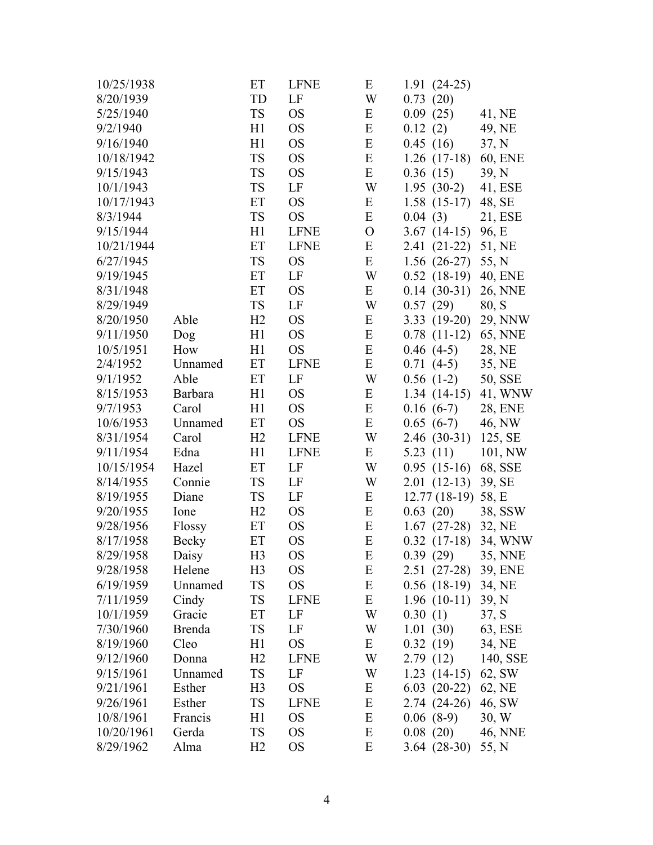| 10/25/1938 |                | ET             | <b>LFNE</b> | E             | $1.91(24-25)$  |                |
|------------|----------------|----------------|-------------|---------------|----------------|----------------|
| 8/20/1939  |                | TD             | LF          | W             | 0.73(20)       |                |
| 5/25/1940  |                | <b>TS</b>      | <b>OS</b>   | E             | 0.09(25)       | 41, NE         |
| 9/2/1940   |                | H1             | <b>OS</b>   | ${\bf E}$     | 0.12(2)        | 49, NE         |
| 9/16/1940  |                | H1             | <b>OS</b>   | ${\bf E}$     | 0.45(16)       | 37, N          |
| 10/18/1942 |                | <b>TS</b>      | <b>OS</b>   | ${\bf E}$     | $1.26(17-18)$  | <b>60, ENE</b> |
| 9/15/1943  |                | <b>TS</b>      | <b>OS</b>   | E             | 0.36(15)       | 39, N          |
| 10/1/1943  |                | <b>TS</b>      | LF          | W             | $1.95(30-2)$   | 41, ESE        |
| 10/17/1943 |                | ET             | <b>OS</b>   | E             | $1.58(15-17)$  | 48, SE         |
| 8/3/1944   |                | <b>TS</b>      | <b>OS</b>   | E             | 0.04(3)        | 21, ESE        |
| 9/15/1944  |                | H1             | <b>LFNE</b> | $\mathcal{O}$ | $3.67(14-15)$  | 96, E          |
| 10/21/1944 |                | ET             | <b>LFNE</b> | E             | 2.41 (21-22)   | 51, NE         |
| 6/27/1945  |                | <b>TS</b>      | <b>OS</b>   | E             | $1.56(26-27)$  | 55, N          |
| 9/19/1945  |                | ET             | LF          | W             | $0.52(18-19)$  | 40, ENE        |
| 8/31/1948  |                | ET             | <b>OS</b>   | Ε             | $0.14(30-31)$  | 26, NNE        |
| 8/29/1949  |                | <b>TS</b>      | LF          | W             | 0.57(29)       | 80, S          |
| 8/20/1950  | Able           | H2             | <b>OS</b>   | E             | $3.33(19-20)$  | 29, NNW        |
| 9/11/1950  | Dog            | H1             | <b>OS</b>   | ${\bf E}$     | $0.78(11-12)$  | <b>65, NNE</b> |
| 10/5/1951  | How            | H1             | <b>OS</b>   | ${\bf E}$     | $0.46(4-5)$    | 28, NE         |
| 2/4/1952   | Unnamed        | ET             | <b>LFNE</b> | E             | $0.71(4-5)$    | 35, NE         |
| 9/1/1952   | Able           | ET             | LF          | W             | $0.56(1-2)$    | 50, SSE        |
| 8/15/1953  | <b>Barbara</b> | H1             | <b>OS</b>   | Ε             | $1.34(14-15)$  | 41, WNW        |
| 9/7/1953   | Carol          | H1             | <b>OS</b>   | ${\bf E}$     | $0.16(6-7)$    | 28, ENE        |
| 10/6/1953  | Unnamed        | ET             | <b>OS</b>   | E             | $0.65(6-7)$    | 46, NW         |
| 8/31/1954  | Carol          | H2             | <b>LFNE</b> | W             | $2.46(30-31)$  | 125, SE        |
| 9/11/1954  | Edna           | H1             | <b>LFNE</b> | Ε             | 5.23 $(11)$    | 101, NW        |
| 10/15/1954 | Hazel          | ET             | LF          | W             | $0.95(15-16)$  | 68, SSE        |
| 8/14/1955  | Connie         | <b>TS</b>      | LF          | W             | $2.01(12-13)$  | 39, SE         |
| 8/19/1955  | Diane          | <b>TS</b>      | LF          | Ε             | $12.77(18-19)$ | 58, E          |
| 9/20/1955  | Ione           | H2             | <b>OS</b>   | E             | 0.63(20)       | 38, SSW        |
| 9/28/1956  | Flossy         | ET             | <b>OS</b>   | E             | $1.67(27-28)$  | 32, NE         |
| 8/17/1958  | Becky          | ET             | <b>OS</b>   | E             | $0.32(17-18)$  | 34, WNW        |
| 8/29/1958  | Daisy          | H <sub>3</sub> | <b>OS</b>   | ${\bf E}$     | 0.39(29)       | 35, NNE        |
| 9/28/1958  | Helene         | H <sub>3</sub> | OS          | E             | $2.51(27-28)$  | 39, ENE        |
| 6/19/1959  | Unnamed        | TS             | <b>OS</b>   | E             | $0.56$ (18-19) | 34, NE         |
| 7/11/1959  | Cindy          | <b>TS</b>      | <b>LFNE</b> | Ε             | $1.96(10-11)$  | 39, N          |
| 10/1/1959  | Gracie         | ET             | LF          | W             | 0.30(1)        | 37, S          |
| 7/30/1960  | <b>Brenda</b>  | <b>TS</b>      | LF          | W             | 1.01(30)       | 63, ESE        |
| 8/19/1960  | Cleo           | H1             | <b>OS</b>   | E             | 0.32(19)       | 34, NE         |
| 9/12/1960  | Donna          | H2             | <b>LFNE</b> | W             | 2.79(12)       | 140, SSE       |
| 9/15/1961  | Unnamed        | TS             | LF          | W             | $1.23(14-15)$  | 62, SW         |
| 9/21/1961  | Esther         | H <sub>3</sub> | <b>OS</b>   | E             | $6.03(20-22)$  | 62, NE         |
| 9/26/1961  | Esther         | <b>TS</b>      | <b>LFNE</b> | E             | $2.74(24-26)$  | 46, SW         |
| 10/8/1961  | Francis        | H1             | OS          | E             | $0.06(8-9)$    | 30, W          |
| 10/20/1961 | Gerda          | <b>TS</b>      | OS          | E             | 0.08(20)       | 46, NNE        |
| 8/29/1962  | Alma           | H <sub>2</sub> | <b>OS</b>   | E             | $3.64(28-30)$  | 55, N          |
|            |                |                |             |               |                |                |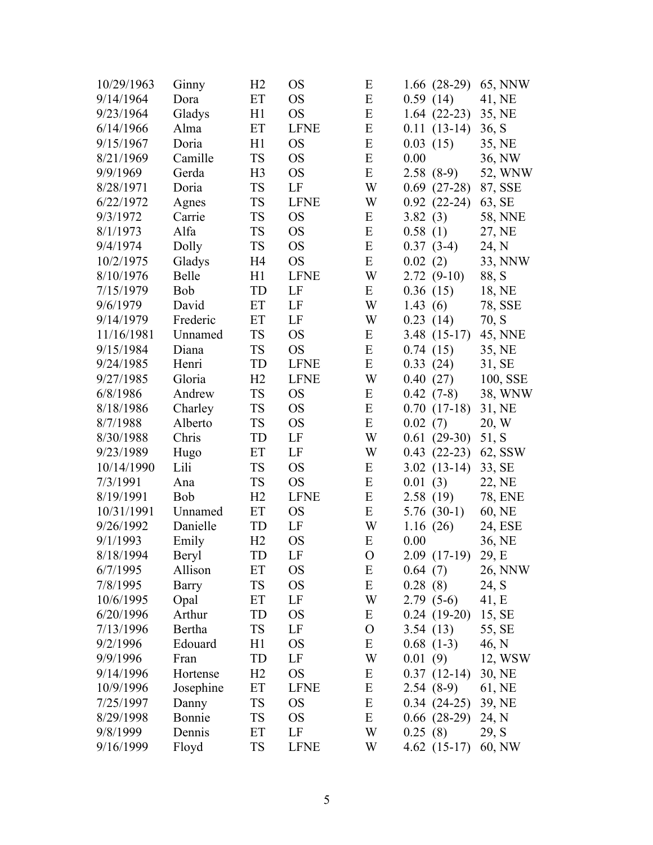| 10/29/1963 | Ginny        | H <sub>2</sub> | OS            | E             | $1.66(28-29)$ | 65, NNW        |
|------------|--------------|----------------|---------------|---------------|---------------|----------------|
| 9/14/1964  | Dora         | ET             | <b>OS</b>     | ${\bf E}$     | 0.59(14)      | 41, NE         |
| 9/23/1964  | Gladys       | H1             | <b>OS</b>     | E             | $1.64(22-23)$ | 35, NE         |
| 6/14/1966  | Alma         | ET             | <b>LFNE</b>   | E             | $0.11(13-14)$ | 36, S          |
| 9/15/1967  | Doria        | H1             | <b>OS</b>     | E             | 0.03(15)      | 35, NE         |
| 8/21/1969  | Camille      | <b>TS</b>      | <b>OS</b>     | E             | 0.00          | 36, NW         |
| 9/9/1969   | Gerda        | H <sub>3</sub> | <b>OS</b>     | ${\bf E}$     | $2.58(8-9)$   | 52, WNW        |
| 8/28/1971  | Doria        | <b>TS</b>      | LF            | W             | $0.69(27-28)$ | 87, SSE        |
| 6/22/1972  | Agnes        | <b>TS</b>      | <b>LFNE</b>   | W             | $0.92(22-24)$ | 63, SE         |
| 9/3/1972   | Carrie       | <b>TS</b>      | <b>OS</b>     | Ε             | 3.82(3)       | <b>58, NNE</b> |
| 8/1/1973   | Alfa         | <b>TS</b>      | <b>OS</b>     | ${\bf E}$     | 0.58(1)       | 27, NE         |
| 9/4/1974   | Dolly        | <b>TS</b>      | <b>OS</b>     | ${\bf E}$     | $0.37(3-4)$   | 24, N          |
| 10/2/1975  | Gladys       | H <sub>4</sub> | <b>OS</b>     | E             | 0.02(2)       | 33, NNW        |
| 8/10/1976  | Belle        | H1             | <b>LFNE</b>   | W             | $2.72(9-10)$  | 88, S          |
| 7/15/1979  | Bob          | TD             | LF            | Ε             | 0.36(15)      | 18, NE         |
| 9/6/1979   | David        | ET             | LF            | W             | 1.43(6)       | 78, SSE        |
| 9/14/1979  | Frederic     | ET             | LF            | W             | 0.23(14)      | 70, S          |
| 11/16/1981 | Unnamed      | <b>TS</b>      | <b>OS</b>     | Ε             | $3.48(15-17)$ | 45, NNE        |
| 9/15/1984  | Diana        | <b>TS</b>      | <b>OS</b>     | ${\bf E}$     | 0.74(15)      | 35, NE         |
| 9/24/1985  | Henri        | TD             | <b>LFNE</b>   | E             | 0.33(24)      | 31, SE         |
| 9/27/1985  | Gloria       | H2             | <b>LFNE</b>   | W             | 0.40(27)      | 100, SSE       |
| 6/8/1986   | Andrew       | <b>TS</b>      | <b>OS</b>     | E             | $0.42(7-8)$   | 38, WNW        |
| 8/18/1986  | Charley      | <b>TS</b>      | <b>OS</b>     | E             | $0.70(17-18)$ | 31, NE         |
| 8/7/1988   | Alberto      | <b>TS</b>      | <b>OS</b>     | E             | 0.02(7)       | 20, W          |
| 8/30/1988  | Chris        | TD             | LF            | W             | $0.61(29-30)$ | 51, S          |
| 9/23/1989  | Hugo         | ET             | LF            | W             | $0.43(22-23)$ | 62, SSW        |
| 10/14/1990 | Lili         | <b>TS</b>      | <b>OS</b>     | E             | $3.02(13-14)$ | 33, SE         |
| 7/3/1991   | Ana          | <b>TS</b>      | <b>OS</b>     | E             | 0.01(3)       | 22, NE         |
| 8/19/1991  | Bob          | H2             | <b>LFNE</b>   | E             | 2.58(19)      | 78, ENE        |
| 10/31/1991 | Unnamed      | ET             | <b>OS</b>     | E             | $5.76(30-1)$  | 60, NE         |
| 9/26/1992  | Danielle     | TD             | LF            | W             | 1.16(26)      | 24, ESE        |
| 9/1/1993   | Emily        | H2             | <b>OS</b>     | ${\bf E}$     | 0.00          | 36, NE         |
| 8/18/1994  | <b>Beryl</b> | TD             | LF            | $\mathcal{O}$ | $2.09(17-19)$ | 29, E          |
| 6/7/1995   | Allison      | ET             | <sub>OS</sub> | E             | 0.64(7)       | 26, NNW        |
| 7/8/1995   | Barry        | <b>TS</b>      | <b>OS</b>     | E             | 0.28(8)       | 24, S          |
| 10/6/1995  | Opal         | ET             | LF            | W             | $2.79(5-6)$   | 41, E          |
| 6/20/1996  | Arthur       | TD             | <b>OS</b>     | E             | $0.24(19-20)$ | 15, SE         |
| 7/13/1996  | Bertha       | <b>TS</b>      | LF            | $\mathbf O$   | 3.54(13)      | 55, SE         |
| 9/2/1996   | Edouard      | H1             | <b>OS</b>     | E             | $0.68(1-3)$   | 46, N          |
| 9/9/1996   | Fran         | TD             | LF            | W             | 0.01(9)       | 12, WSW        |
| 9/14/1996  | Hortense     | H <sub>2</sub> | <b>OS</b>     | E             | $0.37(12-14)$ | 30, NE         |
| 10/9/1996  | Josephine    | ET             | <b>LFNE</b>   | E             | $2.54(8-9)$   | 61, NE         |
| 7/25/1997  | Danny        | <b>TS</b>      | <b>OS</b>     | E             | $0.34(24-25)$ | 39, NE         |
| 8/29/1998  | Bonnie       | <b>TS</b>      | <b>OS</b>     | E             | $0.66(28-29)$ | 24, N          |
| 9/8/1999   | Dennis       | ET             | LF            | W             | 0.25(8)       | 29, S          |
| 9/16/1999  | Floyd        | <b>TS</b>      | <b>LFNE</b>   | W             | $4.62(15-17)$ | 60, NW         |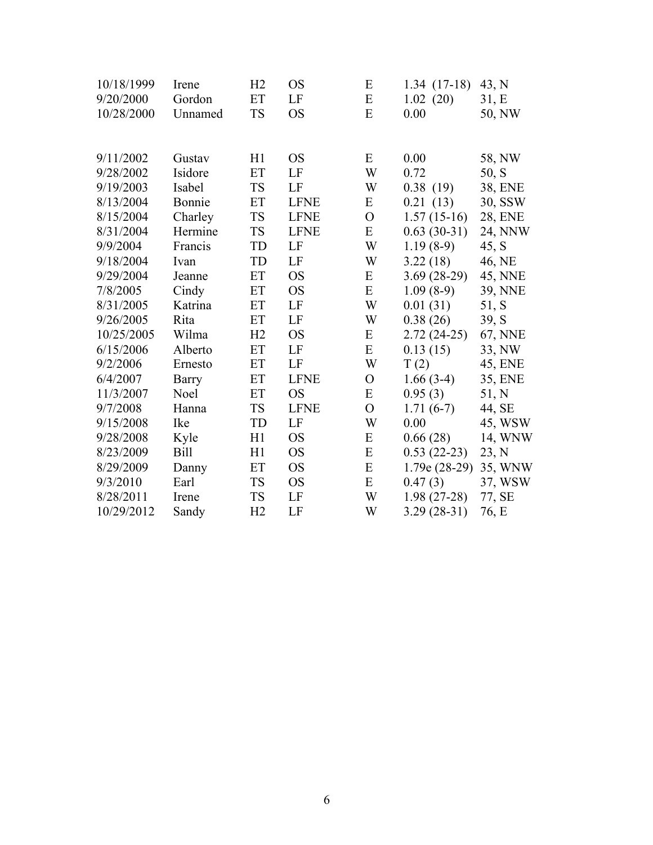| 10/18/1999 | Irene       | H2        | <b>OS</b>   | E              | $1.34(17-18)$  | 43, N          |
|------------|-------------|-----------|-------------|----------------|----------------|----------------|
| 9/20/2000  | Gordon      | ET        | LF          | ${\bf E}$      | 1.02(20)       | 31, E          |
| 10/28/2000 | Unnamed     | <b>TS</b> | <b>OS</b>   | E              | 0.00           | 50, NW         |
|            |             |           |             |                |                |                |
| 9/11/2002  | Gustav      | H1        | <b>OS</b>   | E              | 0.00           | 58, NW         |
| 9/28/2002  | Isidore     | ET        | LF          | W              | 0.72           | 50, S          |
| 9/19/2003  | Isabel      | <b>TS</b> | LF          | W              | 0.38(19)       | 38, ENE        |
| 8/13/2004  | Bonnie      | ET        | <b>LFNE</b> | E              | 0.21(13)       | 30, SSW        |
| 8/15/2004  | Charley     | <b>TS</b> | <b>LFNE</b> | $\overline{O}$ | $1.57(15-16)$  | <b>28, ENE</b> |
| 8/31/2004  | Hermine     | <b>TS</b> | <b>LFNE</b> | E              | $0.63(30-31)$  | 24, NNW        |
| 9/9/2004   | Francis     | TD        | LF          | W              | $1.19(8-9)$    | 45, S          |
| 9/18/2004  | Ivan        | TD        | LF          | W              | 3.22(18)       | 46, NE         |
| 9/29/2004  | Jeanne      | ET        | <b>OS</b>   | E              | $3.69(28-29)$  | 45, NNE        |
| 7/8/2005   | Cindy       | ET        | <b>OS</b>   | E              | $1.09(8-9)$    | <b>39, NNE</b> |
| 8/31/2005  | Katrina     | ET        | LF          | W              | 0.01(31)       | 51, S          |
| 9/26/2005  | Rita        | ET        | LF          | W              | 0.38(26)       | 39, S          |
| 10/25/2005 | Wilma       | H2        | <b>OS</b>   | E              | $2.72(24-25)$  | 67, NNE        |
| 6/15/2006  | Alberto     | ET        | LF          | E              | 0.13(15)       | 33, NW         |
| 9/2/2006   | Ernesto     | ET        | LF          | W              | T(2)           | 45, ENE        |
| 6/4/2007   | Barry       | ET        | <b>LFNE</b> | $\overline{O}$ | $1.66(3-4)$    | 35, ENE        |
| 11/3/2007  | Noel        | ET        | <b>OS</b>   | E              | 0.95(3)        | 51, N          |
| 9/7/2008   | Hanna       | <b>TS</b> | <b>LFNE</b> | $\overline{O}$ | $1.71(6-7)$    | 44, SE         |
| 9/15/2008  | Ike         | TD        | LF          | W              | 0.00           | 45, WSW        |
| 9/28/2008  | Kyle        | H1        | <b>OS</b>   | E              | 0.66(28)       | 14, WNW        |
| 8/23/2009  | <b>Bill</b> | H1        | <b>OS</b>   | ${\bf E}$      | $0.53(22-23)$  | 23, N          |
| 8/29/2009  | Danny       | ET        | <b>OS</b>   | E              | $1.79e(28-29)$ | 35, WNW        |
| 9/3/2010   | Earl        | <b>TS</b> | <b>OS</b>   | E              | 0.47(3)        | 37, WSW        |
| 8/28/2011  | Irene       | <b>TS</b> | LF          | W              | $1.98(27-28)$  | 77, SE         |
| 10/29/2012 | Sandy       | H2        | LF          | W              | $3.29(28-31)$  | 76, E          |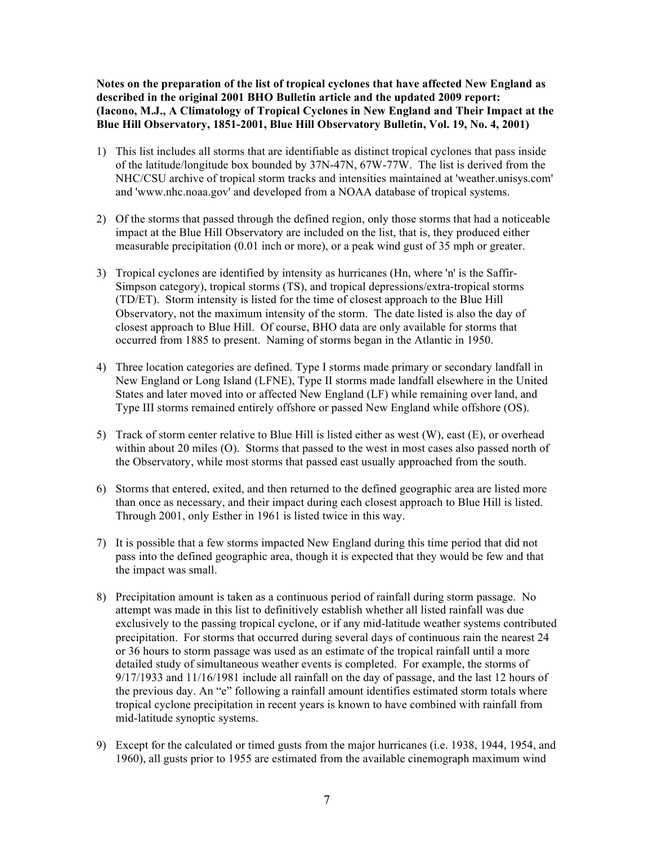**Notes on the preparation of the list of tropical cyclones that have affected New England as described in the original 2001 BHO Bulletin article and the updated 2009 report: (Iacono, M.J., A Climatology of Tropical Cyclones in New England and Their Impact at the Blue Hill Observatory, 1851-2001, Blue Hill Observatory Bulletin, Vol. 19, No. 4, 2001)**

- 1) This list includes all storms that are identifiable as distinct tropical cyclones that pass inside of the latitude/longitude box bounded by 37N-47N, 67W-77W. The list is derived from the NHC/CSU archive of tropical storm tracks and intensities maintained at 'weather.unisys.com' and 'www.nhc.noaa.gov' and developed from a NOAA database of tropical systems.
- 2) Of the storms that passed through the defined region, only those storms that had a noticeable impact at the Blue Hill Observatory are included on the list, that is, they produced either measurable precipitation (0.01 inch or more), or a peak wind gust of 35 mph or greater.
- 3) Tropical cyclones are identified by intensity as hurricanes (Hn, where 'n' is the Saffir-Simpson category), tropical storms (TS), and tropical depressions/extra-tropical storms (TD/ET). Storm intensity is listed for the time of closest approach to the Blue Hill Observatory, not the maximum intensity of the storm. The date listed is also the day of closest approach to Blue Hill. Of course, BHO data are only available for storms that occurred from 1885 to present. Naming of storms began in the Atlantic in 1950.
- 4) Three location categories are defined. Type I storms made primary or secondary landfall in New England or Long Island (LFNE), Type II storms made landfall elsewhere in the United States and later moved into or affected New England (LF) while remaining over land, and Type III storms remained entirely offshore or passed New England while offshore (OS).
- 5) Track of storm center relative to Blue Hill is listed either as west (W), east (E), or overhead within about 20 miles (O). Storms that passed to the west in most cases also passed north of the Observatory, while most storms that passed east usually approached from the south.
- 6) Storms that entered, exited, and then returned to the defined geographic area are listed more than once as necessary, and their impact during each closest approach to Blue Hill is listed. Through 2001, only Esther in 1961 is listed twice in this way.
- 7) It is possible that a few storms impacted New England during this time period that did not pass into the defined geographic area, though it is expected that they would be few and that the impact was small.
- 8) Precipitation amount is taken as a continuous period of rainfall during storm passage. No attempt was made in this list to definitively establish whether all listed rainfall was due exclusively to the passing tropical cyclone, or if any mid-latitude weather systems contributed precipitation. For storms that occurred during several days of continuous rain the nearest 24 or 36 hours to storm passage was used as an estimate of the tropical rainfall until a more detailed study of simultaneous weather events is completed. For example, the storms of 9/17/1933 and 11/16/1981 include all rainfall on the day of passage, and the last 12 hours of the previous day. An "e" following a rainfall amount identifies estimated storm totals where tropical cyclone precipitation in recent years is known to have combined with rainfall from mid-latitude synoptic systems.
- 9) Except for the calculated or timed gusts from the major hurricanes (i.e. 1938, 1944, 1954, and 1960), all gusts prior to 1955 are estimated from the available cinemograph maximum wind